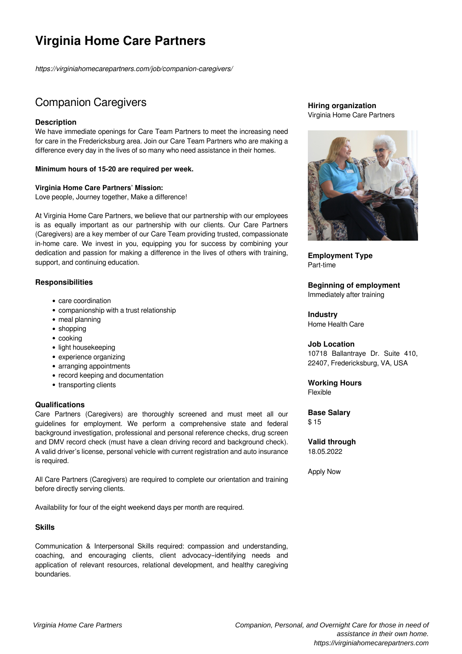# **Virginia Home Care Partners**

*https://virginiahomecarepartners.com/job/companion-caregivers/*

## Companion Caregivers

#### **Description**

We have immediate openings for Care Team Partners to meet the increasing need for care in the Fredericksburg area. Join our Care Team Partners who are making a difference every day in the lives of so many who need assistance in their homes.

#### **Minimum hours of 15-20 are required per week.**

#### **Virginia Home Care Partners' Mission:**

Love people, Journey together, Make a difference!

At Virginia Home Care Partners, we believe that our partnership with our employees is as equally important as our partnership with our clients. Our Care Partners (Caregivers) are a key member of our Care Team providing trusted, compassionate in-home care. We invest in you, equipping you for success by combining your dedication and passion for making a difference in the lives of others with training, support, and continuing education.

#### **Responsibilities**

- care coordination
- companionship with a trust relationship
- meal planning
- shopping
- cooking
- light housekeeping
- experience organizing
- arranging appointments
- record keeping and documentation
- transporting clients

#### **Qualifications**

Care Partners (Caregivers) are thoroughly screened and must meet all our guidelines for employment. We perform a comprehensive state and federal background investigation, professional and personal reference checks, drug screen and DMV record check (must have a clean driving record and background check). A valid driver's license, personal vehicle with current registration and auto insurance is required.

All Care Partners (Caregivers) are required to complete our orientation and training before directly serving clients.

Availability for four of the eight weekend days per month are required.

#### **Skills**

Communication & Interpersonal Skills required: compassion and understanding, coaching, and encouraging clients, client advocacy–identifying needs and application of relevant resources, relational development, and healthy caregiving boundaries.

#### **Hiring organization** Virginia Home Care Partners



**Employment Type** Part-time

**Beginning of employment** Immediately after training

**Industry** Home Health Care

#### **Job Location**

10718 Ballantraye Dr. Suite 410, 22407, Fredericksburg, VA, USA

### **Working Hours**

Flexible

**Base Salary** \$ 15

**Valid through** 18.05.2022

Apply Now